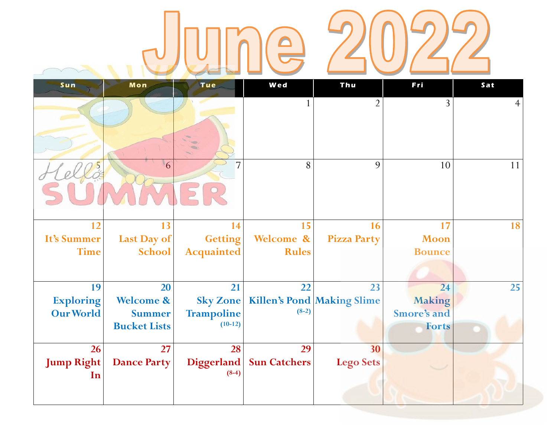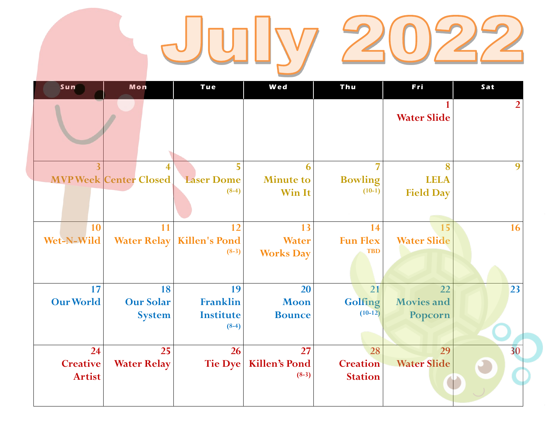## July 2022

| Sun                                    | Mon                                     | Tue                                           | Wed                                    | Thu                                     | Fri                                  | Sat     |  |
|----------------------------------------|-----------------------------------------|-----------------------------------------------|----------------------------------------|-----------------------------------------|--------------------------------------|---------|--|
|                                        |                                         |                                               |                                        |                                         | <b>Water Slide</b>                   | 2       |  |
|                                        | 4<br><b>MVP Week Center Closed</b>      | 5<br><b>Laser Dome</b><br>$(8-4)$             | 6<br><b>Minute to</b><br><b>Win It</b> | 7<br><b>Bowling</b><br>$(10-1)$         | 8<br><b>LELA</b><br><b>Field Day</b> | 9       |  |
| 10<br>Wet-N-Wild                       | 11<br><b>Water Relay</b>                | 12<br><b>Killen's Pond</b><br>$(8-3)$         | 13<br><b>Water</b><br><b>Works Day</b> | 14<br><b>Fun Flex</b><br><b>TBD</b>     | 15<br><b>Water Slide</b>             | 16      |  |
| 17<br><b>Our World</b>                 | 18<br><b>Our Solar</b><br><b>System</b> | 19<br>Franklin<br><b>Institute</b><br>$(8-4)$ | 20<br><b>Moon</b><br><b>Bounce</b>     | 21<br>Golfing<br>$(10-12)$              | 22<br><b>Movies and</b><br>Popcorn   | 23      |  |
| 24<br><b>Creative</b><br><b>Artist</b> | 25<br><b>Water Relay</b>                | 26<br><b>Tie Dye</b>                          | 27<br><b>Killen's Pond</b><br>$(8-3)$  | 28<br><b>Creation</b><br><b>Station</b> | 29<br><b>Water Slide</b>             | 30<br>O |  |